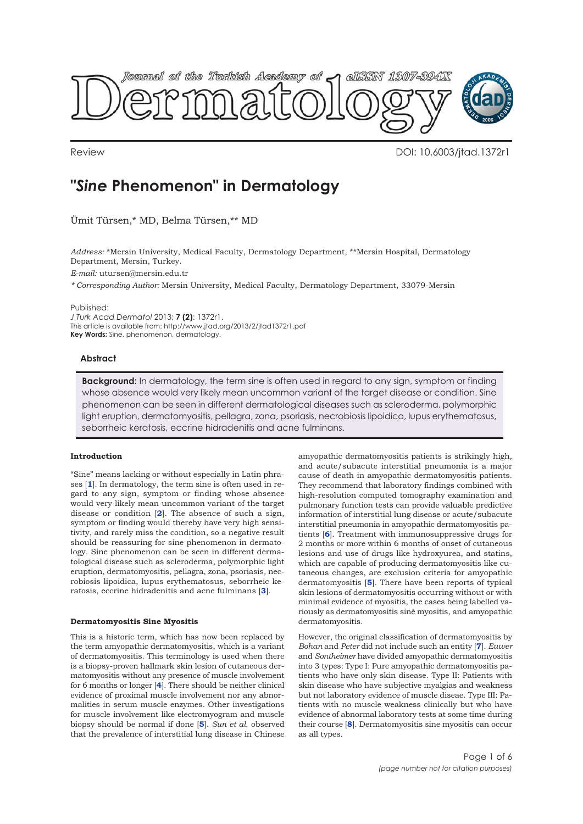

Review DOI: 10.6003/jtad.1372r1

# **"***Sine* **Phenomenon" in Dermatology**

Ümit Türsen,\* MD, Belma Türsen,\*\* MD

*Address:* \*Mersin University, Medical Faculty, Dermatology Department, \*\*Mersin Hospital, Dermatology Department, Mersin, Turkey.

*E-mail:* utursen@mersin.edu.tr

*\* Corresponding Author:* Mersin University, Medical Faculty, Dermatology Department, 33079-Mersin

Published:

*J Turk Acad Dermatol* 2013; **7 (2)**: 1372r1. This article is available from: http://www.jtad.org/2013/2/jtad1372r1.pdf **Key Words:** Sine, phenomenon, dermatology.

# **Abstract**

**Background:** In dermatology, the term sine is often used in regard to any sign, symptom or finding whose absence would very likely mean uncommon variant of the target disease or condition. Sine phenomenon can be seen in different dermatological diseases such as scleroderma, polymorphic light eruption, dermatomyositis, pellagra, zona, psoriasis, necrobiosis lipoidica, lupus erythematosus, seborrheic keratosis, eccrine hidradenitis and acne fulminans.

# **Introduction**

"Sine" means lacking or without especially in Latin phrases [**1**]. In dermatology, the term sine is often used in regard to any sign, symptom or finding whose absence would very likely mean uncommon variant of the target disease or condition [**2**]. The absence of such a sign, symptom or finding would thereby have very high sensitivity, and rarely miss the condition, so a negative result should be reassuring for sine phenomenon in dermatology. Sine phenomenon can be seen in different dermatological disease such as scleroderma, polymorphic light eruption, dermatomyositis, pellagra, zona, psoriasis, necrobiosis lipoidica, lupus erythematosus, seborrheic keratosis, eccrine hidradenitis and acne fulminans [**3**].

## **Dermatomyositis Sine Myositis**

This is a historic term, which has now been replaced by the term amyopathic dermatomyositis, which is a variant of dermatomyositis. This terminology is used when there is a biopsy-proven hallmark skin lesion of cutaneous dermatomyositis without any presence of muscle involvement for 6 months or longer [**4**]. There should be neither clinical evidence of proximal muscle involvement nor any abnormalities in serum muscle enzymes. Other investigations for muscle involvement like electromyogram and muscle biopsy should be normal if done [**5**]. *Sun et al*. observed that the prevalence of interstitial lung disease in Chinese

amyopathic dermatomyositis patients is strikingly high, and acute/subacute interstitial pneumonia is a major cause of death in amyopathic dermatomyositis patients. They recommend that laboratory findings combined with high-resolution computed tomography examination and pulmonary function tests can provide valuable predictive information of interstitial lung disease or acute/subacute interstitial pneumonia in amyopathic dermatomyositis patients [**6**]. Treatment with immunosuppressive drugs for 2 months or more within 6 months of onset of cutaneous lesions and use of drugs like hydroxyurea, and statins, which are capable of producing dermatomyositis like cutaneous changes, are exclusion criteria for amyopathic dermatomyositis [**5**]. There have been reports of typical skin lesions of dermatomyositis occurring without or with minimal evidence of myositis, the cases being labelled variously as dermatomyositis siné myositis, and amyopathic dermatomyositis.

However, the original classification of dermatomyositis by *Bohan* and *Peter* did not include such an entity [**7**]. *Euwer* and *Sontheimer* have divided amyopathic dermatomyositis into 3 types: Type I: Pure amyopathic dermatomyositis patients who have only skin disease. Type II: Patients with skin disease who have subjective myalgias and weakness but not laboratory evidence of muscle diseae. Type III: Patients with no muscle weakness clinically but who have evidence of abnormal laboratory tests at some time during their course [**8**]. Dermatomyositis sine myositis can occur as all types.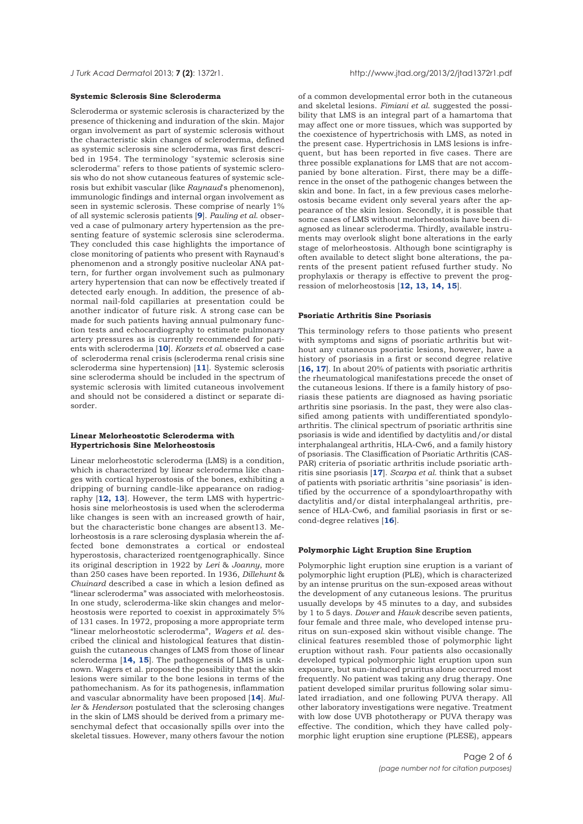#### **Systemic Sclerosis Sine Scleroderma**

Scleroderma or systemic sclerosis is characterized by the presence of thickening and induration of the skin. Major organ involvement as part of systemic sclerosis without the characteristic skin changes of scleroderma, defined as systemic sclerosis sine scleroderma, was first described in 1954. The terminology "systemic sclerosis sine scleroderma" refers to those patients of systemic sclerosis who do not show cutaneous features of systemic sclerosis but exhibit vascular (like *Raynaud*'s phenomenon), immunologic findings and internal organ involvement as seen in systemic sclerosis. These comprise of nearly 1% of all systemic sclerosis patients [**9**]. *Pauling et al*. observed a case of pulmonary artery hypertension as the presenting feature of systemic sclerosis sine scleroderma. They concluded this case highlights the importance of close monitoring of patients who present with Raynaud's phenomenon and a strongly positive nucleolar ANA pattern, for further organ involvement such as pulmonary artery hypertension that can now be effectively treated if detected early enough. In addition, the presence of abnormal nail-fold capillaries at presentation could be another indicator of future risk. A strong case can be made for such patients having annual pulmonary function tests and echocardiography to estimate pulmonary artery pressures as is currently recommended for patients with scleroderma [**10**]. *Korzets et al*. observed a case of scleroderma renal crisis (scleroderma renal crisis sine scleroderma sine hypertension) [**11**]. Systemic sclerosis sine scleroderma should be included in the spectrum of systemic sclerosis with limited cutaneous involvement and should not be considered a distinct or separate disorder.

## **Linear Melorheostotic Scleroderma with Hypertrichosis Sine Melorheostosis**

Linear melorheostotic scleroderma (LMS) is a condition, which is characterized by linear scleroderma like changes with cortical hyperostosis of the bones, exhibiting a dripping of burning candle-like appearance on radiography [**12, 13**]. However, the term LMS with hypertrichosis sine melorheostosis is used when the scleroderma like changes is seen with an increased growth of hair, but the characteristic bone changes are absent13. Melorheostosis is a rare sclerosing dysplasia wherein the affected bone demonstrates a cortical or endosteal hyperostosis, characterized roentgenographically. Since its original description in 1922 by *Leri* & *Joanny*, more than 250 cases have been reported. In 1936, *Dillehunt* & *Chuinard* described a case in which a lesion defined as "linear scleroderma" was associated with melorheostosis. In one study, scleroderma-like skin changes and melorheostosis were reported to coexist in approximately 5% of 131 cases. In 1972, proposing a more appropriate term "linear melorheostotic scleroderma", *Wagers et al*. described the clinical and histological features that distinguish the cutaneous changes of LMS from those of linear scleroderma [**14, 15**]. The pathogenesis of LMS is unknown. Wagers et al. proposed the possibility that the skin lesions were similar to the bone lesions in terms of the pathomechanism. As for its pathogenesis, inflammation and vascular abnormality have been proposed [**14**]. *Muller* & *Henderson* postulated that the sclerosing changes in the skin of LMS should be derived from a primary mesenchymal defect that occasionally spills over into the skeletal tissues. However, many others favour the notion

of a common developmental error both in the cutaneous and skeletal lesions. *Fimiani et al*. suggested the possibility that LMS is an integral part of a hamartoma that may affect one or more tissues, which was supported by the coexistence of hypertrichosis with LMS, as noted in the present case. Hypertrichosis in LMS lesions is infrequent, but has been reported in five cases. There are three possible explanations for LMS that are not accompanied by bone alteration. First, there may be a difference in the onset of the pathogenic changes between the skin and bone. In fact, in a few previous cases melorheostosis became evident only several years after the appearance of the skin lesion. Secondly, it is possible that some cases of LMS without melorheostosis have been diagnosed as linear scleroderma. Thirdly, available instruments may overlook slight bone alterations in the early stage of melorheostosis. Although bone scintigraphy is often available to detect slight bone alterations, the parents of the present patient refused further study. No prophylaxis or therapy is effective to prevent the progression of melorheostosis [**12, 13, 14, 15**].

# **Psoriatic Arthritis Sine Psoriasis**

This terminology refers to those patients who present with symptoms and signs of psoriatic arthritis but without any cutaneous psoriatic lesions, however, have a history of psoriasis in a first or second degree relative [**16, 17**]. In about 20% of patients with psoriatic arthritis the rheumatological manifestations precede the onset of the cutaneous lesions. If there is a family history of psoriasis these patients are diagnosed as having psoriatic arthritis sine psoriasis. In the past, they were also classified among patients with undifferentiated spondyloarthritis. The clinical spectrum of psoriatic arthritis sine psoriasis is wide and identified by dactylitis and/or distal interphalangeal arthritis, HLA-Cw6, and a family history of psoriasis. The Clasiffication of Psoriatic Arthritis (CAS-PAR) criteria of psoriatic arthritis include psoriatic arthritis sine psoriasis [**17**]. *Scarpa et al*. think that a subset of patients with psoriatic arthritis "sine psoriasis" is identified by the occurrence of a spondyloarthropathy with dactylitis and/or distal interphalangeal arthritis, presence of HLA-Cw6, and familial psoriasis in first or second-degree relatives [**16**].

#### **Polymorphic Light Eruption Sine Eruption**

Polymorphic light eruption sine eruption is a variant of polymorphic light eruption (PLE), which is characterized by an intense pruritus on the sun-exposed areas without the development of any cutaneous lesions. The pruritus usually develops by 45 minutes to a day, and subsides by 1 to 5 days. *Dower* and *Hawk* describe seven patients, four female and three male, who developed intense pruritus on sun-exposed skin without visible change. The clinical features resembled those of polymorphic light eruption without rash. Four patients also occasionally developed typical polymorphic light eruption upon sun exposure, but sun-induced pruritus alone occurred most frequently. No patient was taking any drug therapy. One patient developed similar pruritus following solar simulated irradiation, and one following PUVA therapy. All other laboratory investigations were negative. Treatment with low dose UVB phototherapy or PUVA therapy was effective. The condition, which they have called polymorphic light eruption sine eruptione (PLESE), appears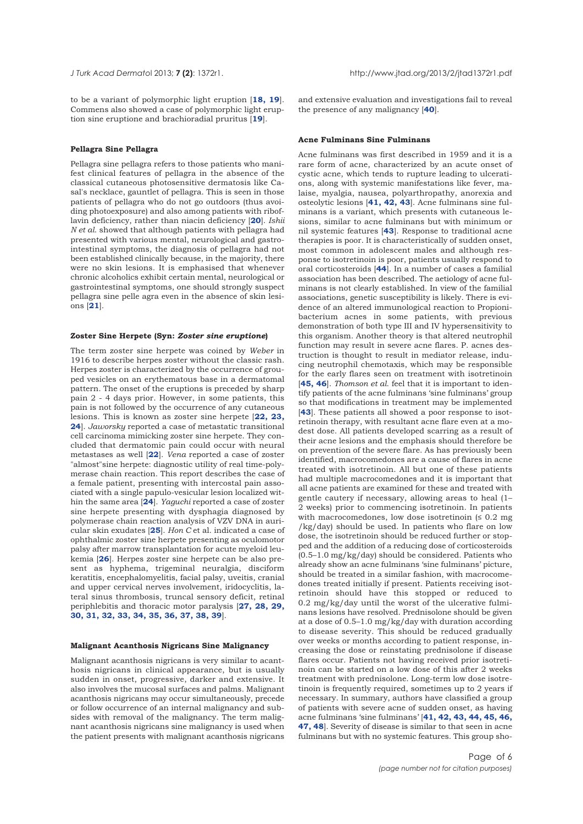to be a variant of polymorphic light eruption [**18, 19**]. Commens also showed a case of polymorphic light eruption sine eruptione and brachioradial pruritus [**19**].

## **Pellagra Sine Pellagra**

Pellagra sine pellagra refers to those patients who manifest clinical features of pellagra in the absence of the classical cutaneous photosensitive dermatosis like Casal's necklace, gauntlet of pellagra. This is seen in those patients of pellagra who do not go outdoors (thus avoiding photoexposure) and also among patients with riboflavin deficiency, rather than niacin deficiency [**20**]. *Ishii N et al*. showed that although patients with pellagra had presented with various mental, neurological and gastrointestinal symptoms, the diagnosis of pellagra had not been established clinically because, in the majority, there were no skin lesions. It is emphasised that whenever chronic alcoholics exhibit certain mental, neurological or gastrointestinal symptoms, one should strongly suspect pellagra sine pelle agra even in the absence of skin lesions [**21**].

#### **Zoster Sine Herpete (Syn:** *Zoster sine eruptione***)**

The term zoster sine herpete was coined by *Weber* in 1916 to describe herpes zoster without the classic rash. Herpes zoster is characterized by the occurrence of grouped vesicles on an erythematous base in a dermatomal pattern. The onset of the eruptions is preceded by sharp pain 2 - 4 days prior. However, in some patients, this pain is not followed by the occurrence of any cutaneous lesions. This is known as zoster sine herpete [**22, 23, 24**]. *Jaworsky* reported a case of metastatic transitional cell carcinoma mimicking zoster sine herpete. They concluded that dermatomic pain could occur with neural metastases as well [**22**]. *Vena* reported a case of zoster "almost"sine herpete: diagnostic utility of real time-polymerase chain reaction. This report describes the case of a female patient, presenting with intercostal pain associated with a single papulo-vesicular lesion localized within the same area [**24**]. *Yaguchi* reported a case of zoster sine herpete presenting with dysphagia diagnosed by polymerase chain reaction analysis of VZV DNA in auricular skin exudates [**25**]. *Hon C* et al. indicated a case of ophthalmic zoster sine herpete presenting as oculomotor palsy after marrow transplantation for acute myeloid leukemia [**26**]. Herpes zoster sine herpete can be also present as hyphema, trigeminal neuralgia, disciform keratitis, encephalomyelitis, facial palsy, uveitis, cranial and upper cervical nerves involvement, iridocyclitis, lateral sinus thrombosis, truncal sensory deficit, retinal periphlebitis and thoracic motor paralysis [**27, 28, 29, 30, 31, 32, 33, 34, 35, 36, 37, 38, 39**].

## **Malignant Acanthosis Nigricans Sine Malignancy**

Malignant acanthosis nigricans is very similar to acanthosis nigricans in clinical appearance, but is usually sudden in onset, progressive, darker and extensive. It also involves the mucosal surfaces and palms. Malignant acanthosis nigricans may occur simultaneously, precede or follow occurrence of an internal malignancy and subsides with removal of the malignancy. The term malignant acanthosis nigricans sine malignancy is used when the patient presents with malignant acanthosis nigricans

and extensive evaluation and investigations fail to reveal the presence of any malignancy [**40**].

## **Acne Fulminans Sine Fulminans**

Acne fulminans was first described in 1959 and it is a rare form of acne, characterized by an acute onset of cystic acne, which tends to rupture leading to ulcerations, along with systemic manifestations like fever, malaise, myalgia, nausea, polyarthropathy, anorexia and osteolytic lesions [**41, 42, 43**]. Acne fulminans sine fulminans is a variant, which presents with cutaneous lesions, similar to acne fulminans but with minimum or nil systemic features [**43**]. Response to traditional acne therapies is poor. It is characteristically of sudden onset, most common in adolescent males and although response to isotretinoin is poor, patients usually respond to oral corticosteroids [**44**]. In a number of cases a familial association has been described. The aetiology of acne fulminans is not clearly established. In view of the familial associations, genetic susceptibility is likely. There is evidence of an altered immunological reaction to Propionibacterium acnes in some patients, with previous demonstration of both type III and IV hypersensitivity to this organism. Another theory is that altered neutrophil function may result in severe acne flares. P. acnes destruction is thought to result in mediator release, inducing neutrophil chemotaxis, which may be responsible for the early flares seen on treatment with isotretinoin [**45, 46**]. *Thomson et al*. feel that it is important to identify patients of the acne fulminans 'sine fulminans' group so that modifications in treatment may be implemented [**43**]. These patients all showed a poor response to isotretinoin therapy, with resultant acne flare even at a modest dose. All patients developed scarring as a result of their acne lesions and the emphasis should therefore be on prevention of the severe flare. As has previously been identified, macrocomedones are a cause of flares in acne treated with isotretinoin. All but one of these patients had multiple macrocomedones and it is important that all acne patients are examined for these and treated with gentle cautery if necessary, allowing areas to heal (1– 2 weeks) prior to commencing isotretinoin. In patients with macrocomedones, low dose isotretinoin  $\leq 0.2$  mg /kg/day) should be used. In patients who flare on low dose, the isotretinoin should be reduced further or stopped and the addition of a reducing dose of corticosteroids (0.5–1.0 mg/kg/day) should be considered. Patients who already show an acne fulminans 'sine fulminans' picture, should be treated in a similar fashion, with macrocomedones treated initially if present. Patients receiving isotretinoin should have this stopped or reduced to 0.2 mg/kg/day until the worst of the ulcerative fulminans lesions have resolved. Prednisolone should be given at a dose of 0.5–1.0 mg/kg/day with duration according to disease severity. This should be reduced gradually over weeks or months according to patient response, increasing the dose or reinstating prednisolone if disease flares occur. Patients not having received prior isotretinoin can be started on a low dose of this after 2 weeks treatment with prednisolone. Long-term low dose isotretinoin is frequently required, sometimes up to 2 years if necessary. In summary, authors have classified a group of patients with severe acne of sudden onset, as having acne fulminans 'sine fulminans' [**41, 42, 43, 44, 45, 46, 47, 48**]. Severity of disease is similar to that seen in acne fulminans but with no systemic features. This group sho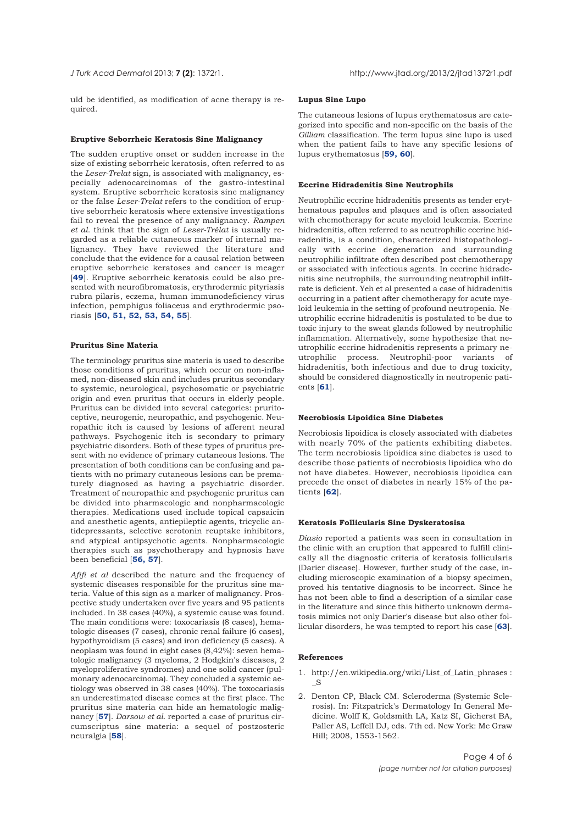uld be identified, as modification of acne therapy is required.

#### **Eruptive Seborrheic Keratosis Sine Malignancy**

The sudden eruptive onset or sudden increase in the size of existing seborrheic keratosis, often referred to as the *Leser-Trelat* sign, is associated with malignancy, especially adenocarcinomas of the gastro-intestinal system. Eruptive seborrheic keratosis sine malignancy or the false *Leser-Trelat* refers to the condition of eruptive seborrheic keratosis where extensive investigations fail to reveal the presence of any malignancy. *Rampen et al*. think that the sign of *Leser-Trélat* is usually regarded as a reliable cutaneous marker of internal malignancy. They have reviewed the literature and conclude that the evidence for a causal relation between eruptive seborrheic keratoses and cancer is meager [**49**]. Eruptive seborrheic keratosis could be also presented with neurofibromatosis, erythrodermic pityriasis rubra pilaris, eczema, human immunodeficiency virus infection, pemphigus foliaceus and erythrodermic psoriasis [**50, 51, 52, 53, 54, 55**].

## **Pruritus Sine Materia**

The terminology pruritus sine materia is used to describe those conditions of pruritus, which occur on non-inflamed, non-diseased skin and includes pruritus secondary to systemic, neurological, psychosomatic or psychiatric origin and even pruritus that occurs in elderly people. Pruritus can be divided into several categories: pruritoceptive, neurogenic, neuropathic, and psychogenic. Neuropathic itch is caused by lesions of afferent neural pathways. Psychogenic itch is secondary to primary psychiatric disorders. Both of these types of pruritus present with no evidence of primary cutaneous lesions. The presentation of both conditions can be confusing and patients with no primary cutaneous lesions can be prematurely diagnosed as having a psychiatric disorder. Treatment of neuropathic and psychogenic pruritus can be divided into pharmacologic and nonpharmacologic therapies. Medications used include topical capsaicin and anesthetic agents, antiepileptic agents, tricyclic antidepressants, selective serotonin reuptake inhibitors, and atypical antipsychotic agents. Nonpharmacologic therapies such as psychotherapy and hypnosis have been beneficial [**56, 57**].

*Afifi et al* described the nature and the frequency of systemic diseases responsible for the pruritus sine materia. Value of this sign as a marker of malignancy. Prospective study undertaken over five years and 95 patients included. In 38 cases (40%), a systemic cause was found. The main conditions were: toxocariasis (8 cases), hematologic diseases (7 cases), chronic renal failure (6 cases), hypothyroidism (5 cases) and iron deficiency (5 cases). A neoplasm was found in eight cases (8,42%): seven hematologic malignancy (3 myeloma, 2 Hodgkin's diseases, 2 myeloproliferative syndromes) and one solid cancer (pulmonary adenocarcinoma). They concluded a systemic aetiology was observed in 38 cases (40%). The toxocariasis an underestimated disease comes at the first place. The pruritus sine materia can hide an hematologic malignancy [**57**]. *Darsow et al*. reported a case of pruritus circumscriptus sine materia: a sequel of postzosteric neuralgia [**58**].

#### **Lupus Sine Lupo**

The cutaneous lesions of lupus erythematosus are categorized into specific and non-specific on the basis of the *Gilliam* classification. The term lupus sine lupo is used when the patient fails to have any specific lesions of lupus erythematosus [**59, 60**].

## **Eccrine Hidradenitis Sine Neutrophils**

Neutrophilic eccrine hidradenitis presents as tender erythematous papules and plaques and is often associated with chemotherapy for acute myeloid leukemia. Eccrine hidradenitis, often referred to as neutrophilic eccrine hidradenitis, is a condition, characterized histopathologically with eccrine degeneration and surrounding neutrophilic infiltrate often described post chemotherapy or associated with infectious agents. In eccrine hidradenitis sine neutrophils, the surrounding neutrophil infiltrate is deficient. Yeh et al presented a case of hidradenitis occurring in a patient after chemotherapy for acute myeloid leukemia in the setting of profound neutropenia. Neutrophilic eccrine hidradenitis is postulated to be due to toxic injury to the sweat glands followed by neutrophilic inflammation. Alternatively, some hypothesize that neutrophilic eccrine hidradenitis represents a primary neprocess. Neutrophil-poor variants of hidradenitis, both infectious and due to drug toxicity, should be considered diagnostically in neutropenic patients [**61**].

#### **Necrobiosis Lipoidica Sine Diabetes**

Necrobiosis lipoidica is closely associated with diabetes with nearly 70% of the patients exhibiting diabetes. The term necrobiosis lipoidica sine diabetes is used to describe those patients of necrobiosis lipoidica who do not have diabetes. However, necrobiosis lipoidica can precede the onset of diabetes in nearly 15% of the patients [**62**].

# **Keratosis Follicularis Sine Dyskeratosisa**

*Diasio* reported a patients was seen in consultation in the clinic with an eruption that appeared to fulfill clinically all the diagnostic criteria of keratosis follicularis (Darier disease). However, further study of the case, including microscopic examination of a biopsy specimen, proved his tentative diagnosis to be incorrect. Since he has not been able to find a description of a similar case in the literature and since this hitherto unknown dermatosis mimics not only Darier's disease but also other follicular disorders, he was tempted to report his case [**63**].

## **References**

- 1. http://en.wikipedia.org/wiki/List\_of\_Latin\_phrases :  $\mathbf{S}$
- 2. Denton CP, Black CM. Scleroderma (Systemic Sclerosis). In: Fitzpatrick's Dermatology In General Medicine. Wolff K, Goldsmith LA, Katz SI, Gicherst BA, Paller AS, Leffell DJ, eds. 7th ed. New York: Mc Graw Hill; 2008, 1553-1562.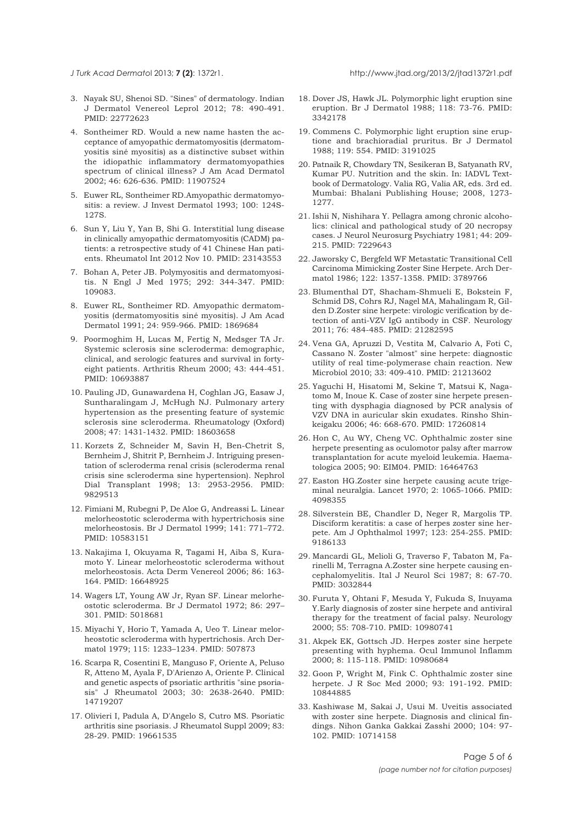- 3. Nayak SU, Shenoi SD. "Sines" of dermatology. Indian J Dermatol Venereol Leprol 2012; 78: 490-491. PMID: 22772623
- 4. Sontheimer RD. Would a new name hasten the acceptance of amyopathic dermatomyositis (dermatomyositis siné myositis) as a distinctive subset within the idiopathic inflammatory dermatomyopathies spectrum of clinical illness? J Am Acad Dermatol 2002; 46: 626-636. PMID: 11907524
- 5. Euwer RL, Sontheimer RD.Amyopathic dermatomyositis: a review. J Invest Dermatol 1993; 100: 124S-127S.
- 6. Sun Y, Liu Y, Yan B, Shi G. Interstitial lung disease in clinically amyopathic dermatomyositis (CADM) patients: a retrospective study of 41 Chinese Han patients. Rheumatol Int 2012 Nov 10. PMID: 23143553
- 7. Bohan A, Peter JB. Polymyositis and dermatomyositis. N Engl J Med 1975; 292: 344-347. PMID: 109083.
- 8. Euwer RL, Sontheimer RD. Amyopathic dermatomyositis (dermatomyositis siné myositis). J Am Acad Dermatol 1991; 24: 959-966. PMID: 1869684
- 9. Poormoghim H, Lucas M, Fertig N, Medsger TA Jr. Systemic sclerosis sine scleroderma: demographic, clinical, and serologic features and survival in fortyeight patients. Arthritis Rheum 2000; 43: 444-451. PMID: 10693887
- 10. Pauling JD, Gunawardena H, Coghlan JG, Easaw J, Suntharalingam J, McHugh NJ. Pulmonary artery hypertension as the presenting feature of systemic sclerosis sine scleroderma. Rheumatology (Oxford) 2008; 47: 1431-1432. PMID: 18603658
- 11. Korzets Z, Schneider M, Savin H, Ben-Chetrit S, Bernheim J, Shitrit P, Bernheim J. Intriguing presentation of scleroderma renal crisis (scleroderma renal crisis sine scleroderma sine hypertension). Nephrol Dial Transplant 1998; 13: 2953-2956. PMID: 9829513
- 12. Fimiani M, Rubegni P, De Aloe G, Andreassi L. Linear melorheostotic scleroderma with hypertrichosis sine melorheostosis. Br J Dermatol 1999; 141: 771–772. PMID: 10583151
- 13. Nakajima I, Okuyama R, Tagami H, Aiba S, Kuramoto Y. Linear melorheostotic scleroderma without melorheostosis. Acta Derm Venereol 2006; 86: 163- 164. PMID: 16648925
- 14. Wagers LT, Young AW Jr, Ryan SF. Linear melorheostotic scleroderma. Br J Dermatol 1972; 86: 297– 301. PMID: 5018681
- 15. Miyachi Y, Horio T, Yamada A, Ueo T. Linear melorheostotic scleroderma with hypertrichosis. Arch Dermatol 1979; 115: 1233–1234. PMID: 507873
- 16. Scarpa R, Cosentini E, Manguso F, Oriente A, Peluso R, Atteno M, Ayala F, D'Arienzo A, Oriente P. Clinical and genetic aspects of psoriatic arthritis "sine psoriasis" J Rheumatol 2003; 30: 2638-2640. PMID: 14719207
- 17. Olivieri I, Padula A, D'Angelo S, Cutro MS. Psoriatic arthritis sine psoriasis. J Rheumatol Suppl 2009; 83: 28-29. PMID: 19661535
- 18. Dover JS, Hawk JL. Polymorphic light eruption sine eruption. Br J Dermatol 1988; 118: 73-76. PMID: 3342178
- 19. Commens C. Polymorphic light eruption sine eruptione and brachioradial pruritus. Br J Dermatol 1988; 119: 554. PMID: 3191025
- 20. Patnaik R, Chowdary TN, Sesikeran B, Satyanath RV, Kumar PU. Nutrition and the skin. In: IADVL Textbook of Dermatology. Valia RG, Valia AR, eds. 3rd ed. Mumbai: Bhalani Publishing House; 2008, 1273- 1277.
- 21. Ishii N, Nishihara Y. Pellagra among chronic alcoholics: clinical and pathological study of 20 necropsy cases. J Neurol Neurosurg Psychiatry 1981; 44: 209- 215. PMID: 7229643
- 22. Jaworsky C, Bergfeld WF Metastatic Transitional Cell Carcinoma Mimicking Zoster Sine Herpete. Arch Dermatol 1986; 122: 1357-1358. PMID: 3789766
- 23. Blumenthal DT, Shacham-Shmueli E, Bokstein F, Schmid DS, Cohrs RJ, Nagel MA, Mahalingam R, Gilden D.Zoster sine herpete: virologic verification by detection of anti-VZV IgG antibody in CSF. Neurology 2011; 76: 484-485. PMID: 21282595
- 24. Vena GA, Apruzzi D, Vestita M, Calvario A, Foti C, Cassano N. Zoster "almost" sine herpete: diagnostic utility of real time-polymerase chain reaction. New Microbiol 2010; 33: 409-410. PMID: 21213602
- 25. Yaguchi H, Hisatomi M, Sekine T, Matsui K, Nagatomo M, Inoue K. Case of zoster sine herpete presenting with dysphagia diagnosed by PCR analysis of VZV DNA in auricular skin exudates. Rinsho Shinkeigaku 2006; 46: 668-670. PMID: 17260814
- 26. Hon C, Au WY, Cheng VC. Ophthalmic zoster sine herpete presenting as oculomotor palsy after marrow transplantation for acute myeloid leukemia. Haematologica 2005; 90: EIM04. PMID: 16464763
- 27. Easton HG.Zoster sine herpete causing acute trigeminal neuralgia. Lancet 1970; 2: 1065-1066. PMID: 4098355
- 28. Silverstein BE, Chandler D, Neger R, Margolis TP. Disciform keratitis: a case of herpes zoster sine herpete. Am J Ophthalmol 1997; 123: 254-255. PMID: 9186133
- 29. Mancardi GL, Melioli G, Traverso F, Tabaton M, Farinelli M, Terragna A.Zoster sine herpete causing encephalomyelitis. Ital J Neurol Sci 1987; 8: 67-70. PMID: 3032844
- 30. Furuta Y, Ohtani F, Mesuda Y, Fukuda S, Inuyama Y.Early diagnosis of zoster sine herpete and antiviral therapy for the treatment of facial palsy. Neurology 2000; 55: 708-710. PMID: 10980741
- 31. Akpek EK, Gottsch JD. Herpes zoster sine herpete presenting with hyphema. Ocul Immunol Inflamm 2000; 8: 115-118. PMID: 10980684
- 32. Goon P, Wright M, Fink C. Ophthalmic zoster sine herpete. J R Soc Med 2000; 93: 191-192. PMID: 10844885
- 33. Kashiwase M, Sakai J, Usui M. Uveitis associated with zoster sine herpete. Diagnosis and clinical findings. Nihon Ganka Gakkai Zasshi 2000; 104: 97- 102. PMID: 10714158